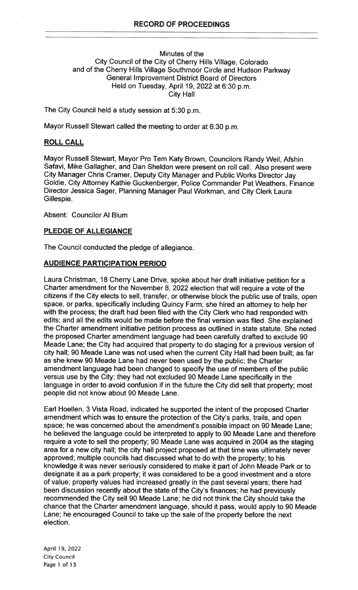#### Minutes of the City Council of the City of Cherry Hills Village, Colorado and of the Cherry Hills Village Southmoor Circle and Hudson Parkway General Improvement District Board of Directors Held on Tuesday, April 19, 2022 at 6:30 p.m. City Hall

The City Council held a study session at 5:30 p.m.

Mayor Russell Stewart called the meeting to order at 6:30 p.m.

#### ROLL CALL

Mayor Russell Stewart, Mayor Pro Tem Katy Brown, Councilors Randy Weil, Afshin Safavi, Mike Gallagher, and Dan Sheldon were present on roll call. Also present were City Manager Chris Cramer, Deputy City Manager and Public Works Director Jay Goldie, City Attorney Kathie Guckenberger, Police Commander Pat Weathers, Finance Director Jessica Sager, Planning Manager Paul Workman, and City Clerk Laura Gillespie.

Absent: Councilor Al Blum

#### PLEDGE OF ALLEGIANCE

The Council conducted the pledge of allegiance.

#### AUDIENCE PARTICIPATION PERIOD

Laura Christman, 18 Cherry Lane Drive, spoke about her draft initiative petition for a Charter amendment for the November 8, 2022 election that will require a vote of the citizens if the City elects to sell, transfer, or otherwise block the public use of trails, open space, or parks, specifically including Quincy Farm; she hired an attorney to help her with the process; the draft had been filed with the City Clerk who had responded with edits; and all the edits would be made before the final version was filed. She explained the Charter amendment initiative petition process as outlined in state statute. She noted the proposed Charter amendment language had been carefully drafted to exclude 90 Meade Lane; the City had acquired that property to do staging for a previous version of city hall; 90 Meade Lane was not used when the current City Hall had been built; as far as she knew 90 Meade Lane had never been used by the public; the Charter amendment language had been changed to specify the use of members of the public versus use by the City; they had not excluded 90 Meade Lane specifically in the language in order to avoid confusion if in the future the City did sell that property; most people did not know about 90 Meade Lane.

Earl Hoellen, 3 Vista Road, indicated he supported the intent of the proposed Charter amendment which was to ensure the protection of the City's parks, trails, and open space; he was concerned about the amendment's possible impact on 90 Meade Lane; he believed the language could be interpreted to apply to 90 Meade Lane and therefore require a vote to sell the property; 90 Meade Lane was acquired in 2004 as the staging area for a new city hall; the city hall project proposed at that time was ultimately never approved; multiple councils had discussed what to do with the property; to his knowledge it was never seriously considered to make it part of John Meade Park or to designate it as a park property; it was considered to be a good investment and a store of value; property values had increased greatly in the past several years; there had been discussion recently about the state of the City's finances; he had previously recommended the City sell 90 Meade Lane; he did not think the City should take the chance that the Charter amendment language, should it pass, would apply to 90 Meade Lane; he encouraged Council to take up the sale of the property before the next election.

April 19, 2022 City Council Page 1 of 13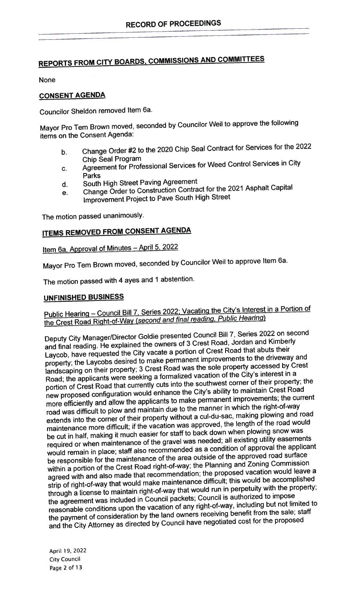# REPORTS FROM CITY BOARDS, COMMISSIONS AND COMMITTEES

None

## CONSENT AGENDA

Councilor Sheldon removed Item 6a.

Mayor Pro Tern Brown moved, seconded by Councilor Weil to approve the following items on the Consent Agenda:

- b. Change Order #2 to the <sup>2020</sup> Chip Seal Contract for Services for the <sup>2022</sup> Chip Seal Program
- c. Agreement for Professional Services for Weed Control Services in City Parks
- d. South High Street Paving Agreement
- e. Change Order to Construction Contract for the <sup>2021</sup> Asphalt Capital Improvement Project to Pave South High Street

The motion passe<sup>d</sup> unanimously.

## ITEMS REMOVED FROM CONSENT AGENDA

Item 6a. Approval of Minutes - April 5, 2022

Mayor Pro Tem Brown moved, seconded by Councilor Weil to approve Item 6a.

The motion passe<sup>d</sup> with <sup>4</sup> ayes and <sup>1</sup> abstention.

## UNFINISHED BUSINESS

## Public Hearing - Council Bill 7, Series 2022; Vacating the City's Interest in a Portion of the Crest Road Right-of-Way (second and final reading, Public Hearing)

Deputy City Manager/Director Goldie presented Council Bill 7, Series <sup>2022</sup> on second and final reading. He explained the owners of <sup>3</sup> Crest Road, Jordan and Kimberly Laycob, have requested the City vacate <sup>a</sup> portion of Crest Road that abuts their property; the Laycobs desired to make permanen<sup>t</sup> improvements to the driveway and landscaping on their property; <sup>3</sup> Crest Road was the sole property accessed by Crest Road; the applicants were seeking <sup>a</sup> formalized vacation of the City's interest in <sup>a</sup> portion of Crest Road that currently cuts into the southwest corner of their property; the new propose<sup>d</sup> configuration would enhance the City's ability to maintain Crest Road more efficiently and allow the applicants to make permanen<sup>t</sup> improvements; the current road was difficult to <sup>p</sup>low and maintain due to the manner in which the right-of-way extends into the corner of their property without <sup>a</sup> cul-du-sac, making <sup>p</sup>lowing and road maintenance more difficult; if the vacation was approved, the length of the road would be cut in half, making it much easier for staff to back down when <sup>p</sup>lowing snow was required or when maintenance of the grave<sup>l</sup> was needed; all existing utility easements would remain in <sup>p</sup>lace; staff also recommended as <sup>a</sup> condition of approva<sup>l</sup> the applicant be responsible for the maintenance of the area outside of the approve<sup>d</sup> road surface within <sup>a</sup> portion of the Crest Road right-of-way; the Planning and Zoning Commission agree<sup>d</sup> with and also made that recommendation; the propose<sup>d</sup> vacation would leave <sup>a</sup> strip of right-of-way that would make maintenance difficult; this would be accomplished through <sup>a</sup> license to maintain right-of-way that would run in perpetuity with the property; the agreemen<sup>t</sup> was included in Council packets; Council is authorized to impose reasonable conditions upon the vacation of any right-of-way, including but not limited to the paymen<sup>t</sup> of consideration by the land owners receiving benefit from the sale; staff and the City Attorney as directed by Council have negotiated cost for the propose<sup>d</sup>

April 19, 2022 City Council Page 2 of 13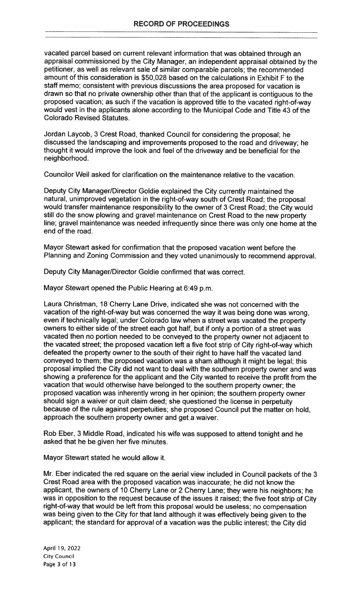vacated parcel based on current relevant information that was obtained through an appraisal commissioned by the City Manager, an independent appraisal obtained by the petitioner, as well as relevant sale of similar comparable parcels; the recommended amount of this consideration is \$50,028 based on the calculations in Exhibit F to the staff memo; consistent with previous discussions the area proposed for vacation is drawn so that no private ownership other than that of the applicant is contiguous to the proposed vacation; as such if the vacation is approved title to the vacated right-of-way would vest in the applicants alone according to the Municipal Code and Title 43 of the Colorado Revised Statutes.

Jordan Laycob, 3 Crest Road, thanked Council for considering the proposal; he discussed the landscaping and improvements proposed to the road and driveway; he thought it would improve the look and feel of the driveway and be beneficial for the neighborhood.

Councilor Weil asked for clarification on the maintenance relative to the vacation.

Deputy City Manager/Director Goldie explained the City currently maintained the natural, unimproved vegetation in the right-of-way south of Crest Road; the proposal would transfer maintenance responsibility to the owner of 3 Crest Road; the City would still do the snow plowing and gravel maintenance on Crest Road to the new property line; gravel maintenance was needed infrequently since there was only one home at the end of the road.

Mayor Stewart asked for confirmation that the proposed vacation went before the Planning and Zoning Commission and they voted unanimously to recommend approval.

Deputy City Manager/Director Goldie confirmed that was correct.

Mayor Stewart opened the Public Hearing at 6:49 p.m.

Laura Christman, 18 Cherry Lane Drive, indicated she was not concerned with the vacation of the right-of-way but was concerned the way it was being done was wrong, even if technically legal; under Colorado law when a street was vacated the property owners to either side of the street each got half, but if only a portion of a street was vacated then no portion needed to be conveyed to the property owner not adjacent to the vacated street; the proposed vacation left a five foot strip of City right-of-way which defeated the property owner to the south of their right to have half the vacated land conveyed to them; the proposed vacation was a sham although it might be legal; this proposal implied the City did not want to deal with the southern property owner and was showing a preference for the applicant and the City wanted to receive the profit from the vacation that would otherwise have belonged to the southern property owner; the proposed vacation was inherently wrong in her opinion; the southern property owner should sign a waiver or quit claim deed; she questioned the license in perpetuity because of the rule against perpetuities; she proposed Council put the matter on hold, approach the southern property owner and get a waiver.

Rob Eber, 3 Middle Road, indicated his wife was supposed to attend tonight and he asked that he be given her five minutes.

Mayor Stewart stated he would allow it.

Mr. Eber indicated the red square on the aerial view included in Council packets of the 3 Crest Road area with the proposed vacation was inaccurate; he did not know the applicant, the owners of 10 Cherry Lane or 2 Cherry Lane; they were his neighbors; he was in opposition to the request because of the issues it raised; the five foot strip of City right-of-way that would be left from this proposal would be useless; no compensation was being given to the City for that land although it was effectively being given to the applicant; the standard for approval of a vacation was the public interest; the City did

April 19, 2022 City Council Page 3 of 13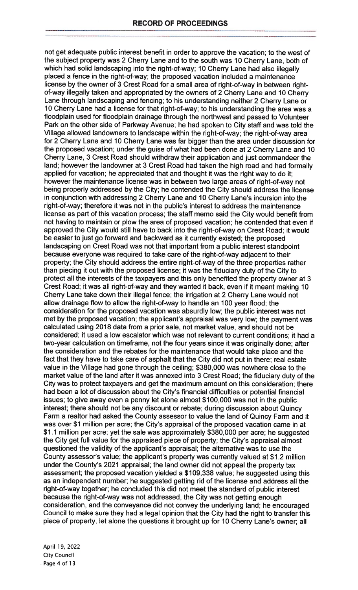not get adequate public interest benefit in order to approve the vacation; to the west of the subject property was 2 Cherry Lane and to the south was 10 Cherry Lane, both of which had solid landscaping into the right-of-way; 10 Cherry Lane had also illegally placed a fence in the right-of-way; the proposed vacation included a maintenance license by the owner of 3 Crest Road for a small area of right-of-way in between rightof-way illegally taken and appropriated by the owners of 2 Cherry Lane and 10 Cherry Lane through landscaping and fencing; to his understanding neither 2 Cherry Lane or 10 Cherry Lane had a license for that right-of-way; to his understanding the area was a floodplain used for floodplain drainage through the northwest and passed to Volunteer Park on the other side of Parkway Avenue; he had spoken to City staff and was told the Village allowed landowners to landscape within the right-of-way; the right-of-way area for 2 Cherry Lane and 10 Cherry Lane was far bigger than the area under discussion for the proposed vacation; under the guise of what had been done at 2 Cherry Lane and 10 Cherry Lane, 3 Crest Road should withdraw their application and just commandeer the land: however the landowner at 3 Crest Road had taken the high road and had formally applied for vacation; he appreciated that and thought it was the right way to do it; however the maintenance license was in between two large areas of right-of-way not being properly addressed by the City; he contended the City should address the license in conjunction with addressing 2 Cherry Lane and 10 Cherry Lane's incursion into the right-of-way; therefore it was not in the public's interest to address the maintenance license as part of this vacation process; the staff memo said the City would benefit from not having to maintain or plow the area of proposed vacation; he contended that even if approved the City would still have to back into the right-of-way on Crest Road; it would be easier to just go forward and backward as it currently existed; the proposed landscaping on Crest Road was not that important from a public interest standpoint because everyone was required to take care of the right-of-way adjacent to their property; the City should address the entire right-of-way of the three properties rather than piecing it out with the proposed license; it was the fiduciary duty of the City to protect all the interests of the taxpayers and this only benefited the property owner at 3 Crest Road; it was all right-of-way and they wanted it back, even if it meant making 10 Cherry Lane take down their illegal fence; the irrigation at 2 Cherry Lane would not allow drainage flow to allow the right-of-way to handle an 100 year flood; the consideration for the proposed vacation was absurdly low; the public interest was not met by the proposed vacation; the applicant's appraisal was very low; the payment was calculated using 2018 data from a prior sale, not market value, and should not be considered; it used a low escalator which was not relevant to current conditions; it had a two-year calculation on timeframe, not the four years since it was originally done; after the consideration and the rebates for the maintenance that would take place and the fact that they have to take care of asphalt that the City did not put in there; real estate value in the Village had gone through the ceiling; \$380,000 was nowhere close to the market value of the land after it was annexed into 3 Crest Road; the fiduciary duty of the City was to protect taxpayers and get the maximum amount on this consideration; there had been a lot of discussion about the City's financial difficulties or potential financial issues; to give away even a penny let alone almost \$100,000 was not in the public interest; there should not be any discount or rebate; during discussion about Quincy Farm a realtor had asked the County assessor to value the land of Quincy Farm and it was over \$1 million per acre; the City's appraisal of the proposed vacation came in at \$1.1 million per acre; yet the sale was approximately \$380,000 per acre; he suggested the City get full value for the appraised piece of property; the City's appraisal almost questioned the validity of the applicant's appraisal; the alternative was to use the County assessor's value; the applicant's property was currently valued at \$1.2 million under the County's 2021 appraisal; the land owner did not appeal the property tax assessment; the proposed vacation yielded a \$109,338 value; he suggested using this as an independent number; he suggested getting rid of the license and address all the right-of-way together; he concluded this did not meet the standard of public interest because the right-of-way was not addressed, the City was not getting enough consideration, and the conveyance did not convey the underlying land; he encouraged Council to make sure they had a legal opinion that the City had the right to transfer this piece of property, let alone the questions it brought up for 10 Cherry Lane's owner; all

April 19, 2022 City Council Page 4 of <sup>1</sup> 3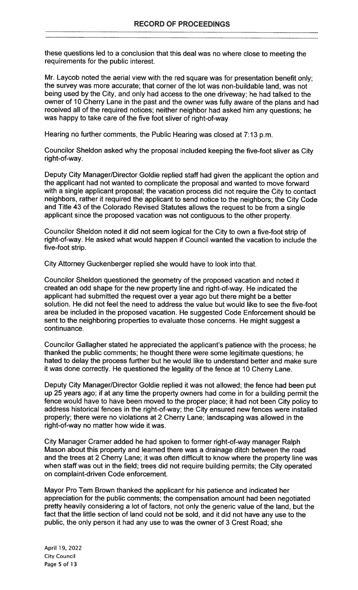these questions led to a conclusion that this deal was no where close to meeting the requirements for the public interest.

Mr. Laycob noted the aerial view with the red square was for presentation benefit only; the survey was more accurate; that corner of the lot was non-buildable land, was not being used by the City, and only had access to the one driveway; he had talked to the owner of 10 Cherry Lane in the past and the owner was fully aware of the plans and had received all of the required notices; neither neighbor had asked him any questions; he was happy to take care of the five foot sliver of right-of-way

Hearing no further comments, the Public Hearing was closed at 7:13 p.m.

Councilor Sheldon asked why the proposal included keeping the five-foot sliver as City right-of-way.

Deputy City Manager/Director Goldie replied staff had given the applicant the option and the applicant had not wanted to complicate the proposal and wanted to move forward with a single applicant proposal; the vacation process did not require the City to contact neighbors, rather it required the applicant to send notice to the neighbors; the City Code and Title 43 of the Colorado Revised Statutes allows the request to be from a single applicant since the proposed vacation was not contiguous to the other property.

Councilor Sheldon noted it did not seem logical for the City to own a five-foot strip of right-of-way. He asked what would happen if Council wanted the vacation to include the five-foot strip.

City Attorney Guckenberger replied she would have to look into that.

Councilor Sheldon questioned the geometry of the proposed vacation and noted it created an odd shape for the new property line and right-of-way. He indicated the applicant had submitted the request over a year ago but there might be a better solution. He did not feel the need to address the value but would like to see the five-foot area be included in the proposed vacation. He suggested Code Enforcement should be sent to the neighboring properties to evaluate those concerns. He might suggest a continuance.

Councilor Gallagher stated he appreciated the applicant's patience with the process; he thanked the public comments; he thought there were some legitimate questions; he hated to delay the process further but he would like to understand better and make sure it was done correctly. He questioned the legality of the fence at 10 Cherry Lane.

Deputy City Manager/Director Goldie replied it was not allowed; the fence had been put up 25 years ago; if at any time the property owners had come in for a building permit the fence would have to have been moved to the proper place; it had not been City policy to address historical fences in the right-of-way; the City ensured new fences were installed properly; there were no violations at 2 Cherry Lane; landscaping was allowed in the right-of-way no matter how wide it was.

City Manager Cramer added he had spoken to former right-of-way manager Ralph Mason about this property and learned there was a drainage ditch between the road and the trees at 2 Cherry Lane; it was often difficult to know where the property line was when staff was out in the field; trees did not require building permits; the City operated on complaint-driven Code enforcement.

Mayor Pro Tem Brown thanked the applicant for his patience and indicated her appreciation for the public comments; the compensation amount had been negotiated pretty heavily considering a lot of factors, not only the generic value of the land, but the fact that the little section of land could not be sold, and it did not have any use to the public, the only person it had any use to was the owner of 3 Crest Road; she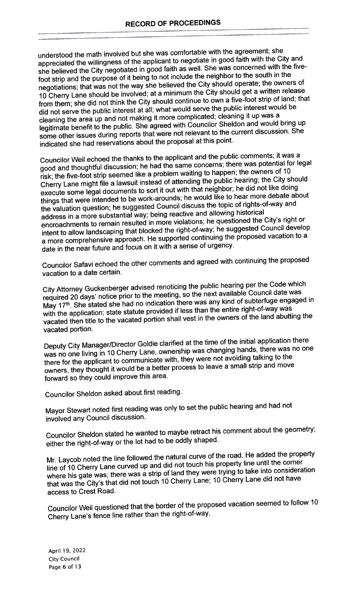understood the math involved but she was comfortable with the agreement; she appreciated the willingness of the applicant to negotiate in goo<sup>d</sup> faith with the City and she believed the City negotiated in goo<sup>d</sup> faith as well. She was concerned with the fivefoot strip and the purpose of it being to not include the neighbor to the south in the negotiations; that was not the way she believed the City should operate; the owners of <sup>10</sup> Cherry Lane should be involved; at <sup>a</sup> minimum the City should ge<sup>t</sup> <sup>a</sup> written release from them; she did not think the City should continue to own <sup>a</sup> five-foot strip of land; that did not serve the public interest at all; what would serve the public interest would be cleaning the area up and not making it more complicated; cleaning it up was <sup>a</sup> legitimate benefit to the public. She agree<sup>d</sup> with Councilor Sheldon and would bring up some other issues during reports that were not relevant to the current discussion. She indicated she had reservations about the proposa<sup>l</sup> at this point.

Councilor Weil echoed the thanks to the applicant and the public comments; it was <sup>a</sup> goo<sup>d</sup> and thoughtful discussion; he had the same concerns; there was potential for legal risk; the five-foot strip seemed like <sup>a</sup> problem waiting to happen; the owners of <sup>10</sup> Cherry Lane might file <sup>a</sup> lawsuit instead of attending the public hearing; the City should execute some legal documents to sort it out with that neighbor; he did not like doing things that were intended to be work-arounds; he would like to hear more debate about the valuation question; he suggested Council discuss the topic of rights-of-way and address in <sup>a</sup> more substantial way; being reactive and allowing historical encroachments to remain resulted in more violations; he questioned the City's right or intent to allow landscaping that blocked the right-of-way; he suggested Council develop <sup>a</sup> more comprehensive approach. He supporte<sup>d</sup> continuing the propose<sup>d</sup> vacation to <sup>a</sup> date in the near future and focus on it with <sup>a</sup> sense of urgency.

Councilor Safavi echoed the other comments and agree<sup>d</sup> with continuing the propose<sup>d</sup> vacation to <sup>a</sup> date certain.

City Attorney Guckenberger advised renoticing the public hearing per the Code which required <sup>20</sup> days' notice prior to the meeting, so the next available Council date was May 17<sup>th</sup>. She stated she had no indication there was any kind of subterfuge engaged in with the application; state statute provided if less than the entire right-of-way was vacated then title to the vacated portion shall vest in the owners of the land abutting the vacated portion.

Deputy City Manager/Director Goldie clarified at the time of the initial application there was no one living in <sup>10</sup> Cherry Lane, ownership was changing hands, there was no one there for the applicant to communicate with, they were not avoiding talking to the owners, they thought it would be <sup>a</sup> better process to leave <sup>a</sup> small strip and move forward so they could improve this area.

Councilor Sheldon asked about first reading.

Mayor Stewart noted first reading was only to set the public hearing and had not involved any Council discussion.

Councilor Sheldon stated he wanted to maybe retract his comment about the geometry; either the right-of-way or the lot had to be oddly shaped.

Mr. Laycob noted the line followed the natural curve of the road. He added the property line of <sup>10</sup> Cherry Lane curved up and did not touch his property line until the corner where his gate was; there was <sup>a</sup> strip of land they were trying to take into consideration that was the City's that did not touch <sup>10</sup> Cherry Lane; <sup>10</sup> Cherry Lane did not have access to Crest Road.

Councilor Weil questioned that the border of the propose<sup>d</sup> vacation seemed to follow <sup>10</sup> Cherry Lane's fence line rather than the right-of-way.

April 19, 2022 City Council Page <sup>6</sup> of <sup>1</sup> <sup>3</sup>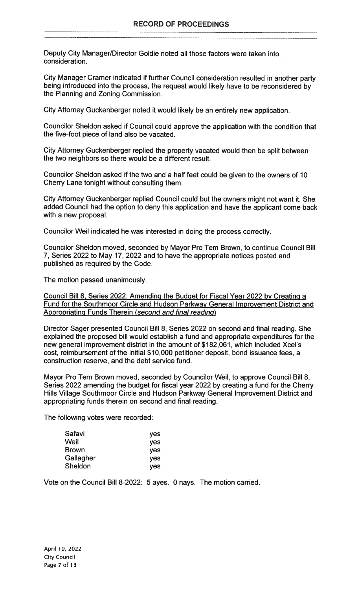Deputy City Manager/Director Goldie noted all those factors were taken into consideration.

City Manager Cramer indicated if further Council consideration resulted in another party being introduced into the process, the request would likely have to be reconsidered by the Planning and Zoning Commission.

City Attorney Guckenberger noted it would likely be an entirely new application.

Councilor Sheldon asked if Council could approve the application with the condition that the five-foot piece of land also be vacated.

City Attorney Guckenberger replied the property vacated would then be split between the two neighbors so there would be a different result.

Councilor Sheldon asked if the two and a half feet could be given to the owners of 10 Cherry Lane tonight without consulting them.

City Attorney Guckenberger replied Council could but the owners might not want it. She added Council had the option to deny this application and have the applicant come back with a new proposal.

Councilor Weil indicated he was interested in doing the process correctly.

Councilor Sheldon moved, seconded by Mayor Pro Tern Brown, to continue Council Bill 7, Series 2022 to May 17, 2022 and to have the appropriate notices posted and published as required by the Code.

The motion passed unanimously.

Council Bill 8, Series 2022; Amending the Budget for Fiscal Year 2022 by Creating a Fund for the Southmoor Circle and Hudson Parkway General Improvement District and Appropriating Funds Therein (second and final reading)

Director Sager presented Council Bill 8, Series 2022 on second and final reading. She explained the proposed bill would establish a fund and appropriate expenditures for the new general improvement district in the amount of \$182,061, which included Xcel's cost, reimbursement of the initial \$10,000 petitioner deposit, bond issuance fees, a construction reserve, and the debt service fund.

Mayor Pro Tem Brown moved, seconded by Councilor Weil, to approve Council Bill 8, Series 2022 amending the budget for fiscal year 2022 by creating a fund for the Cherry Hills Village Southmoor Circle and Hudson Parkway General Improvement District and appropriating funds therein on second and final reading.

The following votes were recorded:

| Safavi       | <b>ves</b> |
|--------------|------------|
| Weil         | <b>ves</b> |
| <b>Brown</b> | yes        |
| Gallagher    | <b>ves</b> |
| Sheldon      | <b>ves</b> |

Vote on the Council Bill 8-2022: 5 ayes. 0 nays. The motion carried.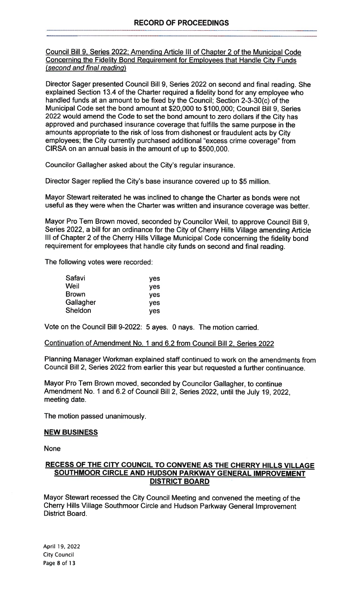Council Bill 9, Series 2022; Amending Article Ill of Chapter 2 of the Municipal Code Concerning the Fidelity Bond Requirement for Employees that Handle City Funds (second and final reading)

Director Sager presented Council Bill 9, Series 2022 on second and final reading. She explained Section 13.4 of the Charter required a fidelity bond for any employee who handled funds at an amount to be fixed by the Council; Section 2-3-30(c) of the Municipal Code set the bond amount at \$20,000 to \$100,000; Council Bill 9, Series 2022 would amend the Code to set the bond amount to zero dollars if the City has approved and purchased insurance coverage that fulfills the same purpose in the amounts appropriate to the risk of loss from dishonest or fraudulent acts by City employees; the City currently purchased additional "excess crime coverage" from CIRSA on an annual basis in the amount of up to \$500,000.

Councilor Gallagher asked about the City's regular insurance.

Director Sager replied the City's base insurance covered up to \$5 million.

Mayor Stewart reiterated he was inclined to change the Charter as bonds were not useful as they were when the Charter was written and insurance coverage was better.

Mayor Pro Tern Brown moved, seconded by Councilor Weil, to approve Council Bill 9, Series 2022, a bill for an ordinance for the City of Cherry Hills Village amending Article Ill of Chapter 2 of the Cherry Hills Village Municipal Code concerning the fidelity bond requirement for employees that handle city funds on second and final reading.

The following votes were recorded:

| <b>ves</b> |
|------------|
| <b>yes</b> |
| <b>yes</b> |
| <b>ves</b> |
| <b>ves</b> |
|            |

Vote on the Council Bill 9-2022: 5 ayes. 0 nays. The motion carried.

Continuation of Amendment No. <sup>1</sup> and 6.2 from Council Bill 2, Series 2022

Planning Manager Workman explained staff continued to work on the amendments from Council Bill 2, Series 2022 from earlier this year but requested a further continuance.

Mayor Pro Tern Brown moved, seconded by Councilor Gallagher, to continue Amendment No. <sup>1</sup> and 6.2 of Council Bill 2, Series 2022, until the July 19, 2022, meeting date.

The motion passed unanimously.

## NEW BUSINESS

None

### RECESS OF THE CITY COUNCIL TO CONVENE AS THE CHERRY HILLS VILLAGE SOUTHMOOR CIRCLE AND HUDSON PARKWAY GENERAL IMPROVEMENT DISTRICT BOARD

Mayor Stewart recessed the City Council Meeting and convened the meeting of the Cherry Hills Village Southmoor Circle and Hudson Parkway General Improvement District Board.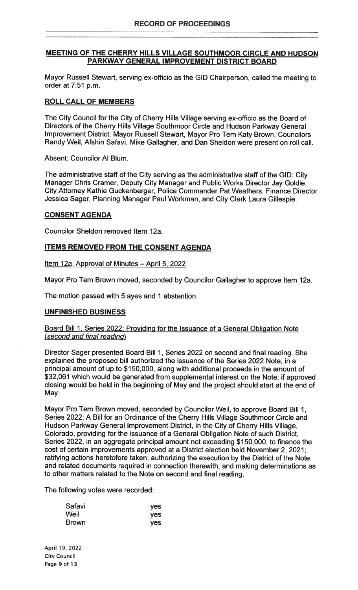### MEETING OF THE CHERRY HILLS VILLAGE SOUTHMOOR CIRCLE AND HUDSON PARKWAY GENERAL IMPROVEMENT DISTRICT BOARD

Mayor Russell Stewart, serving ex-officio as the GID Chairperson, called the meeting to order at 7:51 p.m.

## ROLL CALL OF MEMBERS

The City Council for the City of Cherry Hills Village serving ex-officio as the Board of Directors of the Cherry Hills Village Southmoor Circle and Hudson Parkway General Improvement District: Mayor Russell Stewart, Mayor Pro Tern Katy Brown, Councilors Randy Weil, Afshin Safavi, Mike Gallagher, and Dan Sheldon were present on roll call.

Absent: Councilor Al Blum.

The administrative staff of the City serving as the administrative staff of the GID: City Manager Chris Cramer, Deputy City Manager and Public Works Director Jay Goldie, City Attorney Kathie Guckenberger, Police Commander Pat Weathers, Finance Director Jessica Sager, Planning Manager Paul Workman, and City Clerk Laura Gillespie.

## CONSENT AGENDA

Councilor Sheldon removed Item 12a.

## ITEMS REMOVED FROM THE CONSENT AGENDA

Item 12a. Approval of Minutes - April 5, 2022

Mayor Pro Tem Brown moved, seconded by Councilor Gallagher to approve Item 12a.

The motion passed with 5 ayes and <sup>1</sup> abstention.

## UNFINISHED BUSINESS

#### Board Bill 1, Series 2022; Providing for the Issuance of a General Obligation Note (second and final reading)

Director Sager presented Board Bill 1, Series 2022 on second and final reading. She explained the proposed bill authorized the issuance of the Series 2022 Note, in a principal amount of up to \$1 50,000, along with additional proceeds in the amount of \$32,061 which would be generated from supplemental interest on the Note; if approved closing would be held in the beginning of May and the project should start at the end of May.

Mayor Pro Tem Brown moved, seconded by Councilor Weil, to approve Board Bill 1, Series 2022; A Bill for an Ordinance of the Cherry Hills Village Southmoor Circle and Hudson Parkway General Improvement District, in the City of Cherry Hills Village, Colorado, providing for the issuance of a General Obligation Note of such District, Series 2022, in an aggregate principal amount not exceeding \$150,000, to finance the cost of certain improvements approved at a District election held November 2, 2021; ratifying actions heretofore taken; authorizing the execution by the District of the Note and related documents required in connection therewith; and making determinations as to other matters related to the Note on second and final reading.

The following votes were recorded:

| Safavi       | yes |
|--------------|-----|
| Weil         | yes |
| <b>Brown</b> | yes |

April 19, 2022 City Council Page 9 of 13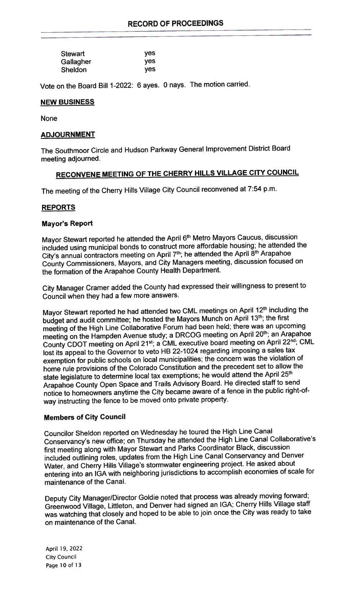| <b>Stewart</b> | yes        |
|----------------|------------|
| Gallagher      | <b>ves</b> |
| Sheldon        | yes        |

Vote on the Board Bill 1-2022: <sup>6</sup> ayes. <sup>0</sup> nays. The motion carried.

### NEW BUSINESS

None

#### ADJOURNMENT

The Southmoor Circle and Hudson Parkway General Improvement District Board meeting adjourned.

## RECONVENE MEETING OF THE CHERRY HILLS VILLAGE CITY COUNCIL

The meeting of the Cherry Hills Village City Council reconvened at 7:54 p.m.

## REPORTS

#### Mayor's Report

Mayor Stewart reported he attended the April 6<sup>th</sup> Metro Mayors Caucus, discussion included using municipal bonds to construct more affordable housing; he attended the City's annual contractors meeting on April 7<sup>th</sup>; he attended the April 8<sup>th</sup> Arapahoe County Commissioners, Mayors, and City Managers meeting, discussion focused on the formation of the Arapahoe County Health Department.

City Manager Cramer added the County had expresse<sup>d</sup> their willingness to presen<sup>t</sup> to Council when they had <sup>a</sup> few more answers.

Mayor Stewart reported he had attended two CML meetings on April 12<sup>th</sup> including the budget and audit committee; he hosted the Mayors Munch on April 13<sup>th</sup>; the first meeting of the High Line Collaborative Forum had been held; there was an upcoming meeting on the Hampden Avenue study; a DRCOG meeting on April 20<sup>th</sup>; an Arapahoe County CDOT meeting on April 21st; a CML executive board meeting on April 22<sup>nd</sup>; CML lost its appea<sup>l</sup> to the Governor to veto HB 22-1024 regarding imposing <sup>a</sup> sales tax exemption for public schools on local municipalities; the concern was the violation of home rule provisions of the Colorado Constitution and the precedent set to allow the state legislature to determine local tax exemptions; he would attend the April 25th Arapahoe County Open Space and Trails Advisory Board. He directed staff to send notice to homeowners anytime the City became aware of <sup>a</sup> fence in the public right-ofway instructing the fence to be moved onto private property.

#### Members of City Council

Councilor Sheldon reported on Wednesday he toured the High Line Canal Conservancy's new office; on Thursday he attended the High Line Canal Collaborative's first meeting along with Mayor Stewart and Parks Coordinator Black, discussion included outlining roles, updates from the High Line Canal Conservancy and Denver Water, and Cherry Hills Village's stormwater engineering project. He asked about entering into an IGA with neighboring jurisdictions to accomplish economies of scale for maintenance of the Canal.

Deputy City Manager/Director Goldie noted that process was already moving forward; Greenwood Village, Littleton, and Denver had signed an IGA; Cherry Hills Village staff was watching that closely and hoped to be able to join once the City was ready to take on maintenance of the Canal.

April 19, 2022 City Council Page 10 of 13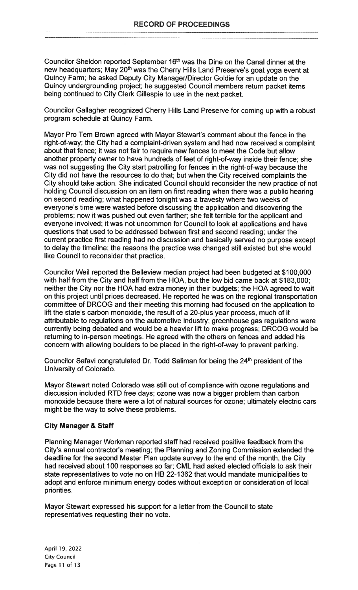Councilor Sheldon reported September 16<sup>th</sup> was the Dine on the Canal dinner at the new headquarters; May 20<sup>th</sup> was the Cherry Hills Land Preserve's goat yoga event at Quincy Farm; he asked Deputy City Manager/Director Goldie for an update on the Quincy undergrounding project; he suggested Council members return packet items being continued to City Clerk Gillespie to use in the next packet.

Councilor Gallagher recognized Cherry Hills Land Preserve for coming up with a robust program schedule at Quincy Farm.

Mayor Pro Tem Brown agreed with Mayor Stewart's comment about the fence in the right-of-way; the City had a complaint-driven system and had now received a complaint about that fence; it was not fair to require new fences to meet the Code but allow another property owner to have hundreds of feet of right-of-way inside their fence; she was not suggesting the City start patrolling for fences in the right-of-way because the City did not have the resources to do that; but when the City received complaints the City should take action. She indicated Council should reconsider the new practice of not holding Council discussion on an item on first reading when there was a public hearing on second reading; what happened tonight was a travesty where two weeks of everyone's time were wasted before discussing the application and discovering the problems; now it was pushed out even farther; she felt terrible for the applicant and everyone involved; it was not uncommon for Council to look at applications and have questions that used to be addressed between first and second reading; under the current practice first reading had no discussion and basically served no purpose except to delay the timeline; the reasons the practice was changed still existed but she would like Council to reconsider that practice.

Councilor Weil reported the Belleview median project had been budgeted at \$100,000 with half from the City and half from the HOA, but the low bid came back at \$183,000; neither the City nor the HOA had extra money in their budgets; the HOA agreed to wait on this project until prices decreased. He reported he was on the regional transportation committee of DRCOG and their meeting this morning had focused on the application to lift the state's carbon monoxide, the result of a 20-pIus year process, much of it attributable to regulations on the automotive industry; greenhouse gas regulations were currently being debated and would be a heavier lift to make progress; DRCOG would be returning to in-person meetings. He agreed with the others on fences and added his concern with allowing boulders to be placed in the right-of-way to prevent parking.

Councilor Safavi congratulated Dr. Todd Saliman for being the 24<sup>th</sup> president of the University of Colorado.

Mayor Stewart noted Colorado was still out of compliance with ozone regulations and discussion included RTD free days; ozone was now a bigger problem than carbon monoxide because there were a lot of natural sources for ozone; ultimately electric cars might be the way to solve these problems.

#### City Manager & Staff

Planning Manager Workman reported staff had received positive feedback from the City's annual contractor's meeting; the Planning and Zoning Commission extended the deadline for the second Master Plan update survey to the end of the month, the City had received about 100 responses so far; CML had asked elected officials to ask their state representatives to vote no on HB 22-1 362 that would mandate municipalities to adopt and enforce minimum energy codes without exception or consideration of local priorities.

Mayor Stewart expressed his support for a letter from the Council to state representatives requesting their no vote.

April 19, 2022 City Council Page 11 of 13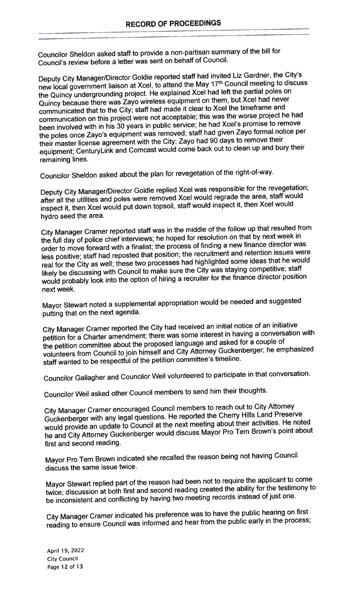Councilor Sheldon asked staff to provide <sup>a</sup> non-partisan summary of the bill for Council's review before <sup>a</sup> letter was sent on behalf of Council.

Deputy City Manager/Director Goldie reported staff had invited Liz Gardner, the City's new local governmen<sup>t</sup> liaison at Xcel, to attend the May 17th Council meeting to discuss the Quincy undergrounding project. He explained XceI had left the partial poles on Quincy because there was Zayo wireless equipment on them, but Xcel had never communicated that to the City; staff had made it clear to Xcel the timeframe and communication on this project were not acceptable; this was the worse project he had been involved with in his <sup>30</sup> years in public service; he had Xcel's promise to remove the poles once Zayo's equipment was removed; staff had <sup>g</sup>iven Zayo formal notice per their master license agreemen<sup>t</sup> with the City; Zayo had <sup>90</sup> days to remove their equipment; CenturyLink and Comcast would come back out to clean up and bury their remaining lines.

Councilor Sheldon asked about the <sup>p</sup>lan for revegetation of the right-of-way.

Deputy City Manager/Director Goldie replied Xcel was responsible for the revegetation; after all the utilities and poles were removed Xcel would regrade the area, staff would inspect it, then XceI would pu<sup>t</sup> down topsoil, staff would inspect it, then Xcel would hydro seed the area.

City Manager Cramer reported staff was in the middle of the follow up that resulted from the full day of police chief interviews; he hoped for resolution on that by next week in order to move forward with <sup>a</sup> finalist; the process of finding <sup>a</sup> new finance director was less positive; staff had reposted that position; the recruitment and retention issues were real for the City as well; these two processes had highlighted some ideas that he would likely be discussing with Council to make sure the City was staying competitive; staff would probably look into the option of hiring <sup>a</sup> recruiter for the finance director position next week.

Mayor Stewart noted <sup>a</sup> supplemental appropriation would be needed and suggested putting that on the next agenda.

City Manager Cramer reported the City had received an initial notice of an initiative petition for <sup>a</sup> Charter amendment; there was some interest in having <sup>a</sup> conversation with the petition committee about the propose<sup>d</sup> language and asked for <sup>a</sup> couple of volunteers from Council to join himself and City Attorney Guckenberger; he emphasized staff wanted to be respectful of the petition committee's timeline.

Councilor Gallagher and Councilor Weil volunteered to participate in that conversation.

Councilor Well asked other Council members to send him their thoughts.

City Manager Cramer encourage<sup>d</sup> Council members to reach out to City Attorney Guckenberger with any legal questions. He reported the Cherry Hills Land Preserve would provide an update to Council at the next meeting about their activities. He noted he and City Attorney Guckenberger would discuss Mayor Pro Tem Brown's point about first and second reading.

Mayor Pro Tern Brown indicated she recalled the reason being not having Council discuss the same issue twice.

Mayor Stewart replied par<sup>t</sup> of the reason had been not to require the applicant to come twice; discussion at both first and second reading created the ability for the testimony to be inconsistent and conflicting by having two meeting records instead of just one.

City Manager Cramer indicated his preference was to have the public hearing on first reading to ensure Council was informed and hear from the public early in the process;

April 19, 2022 City Council Page 12 of 13